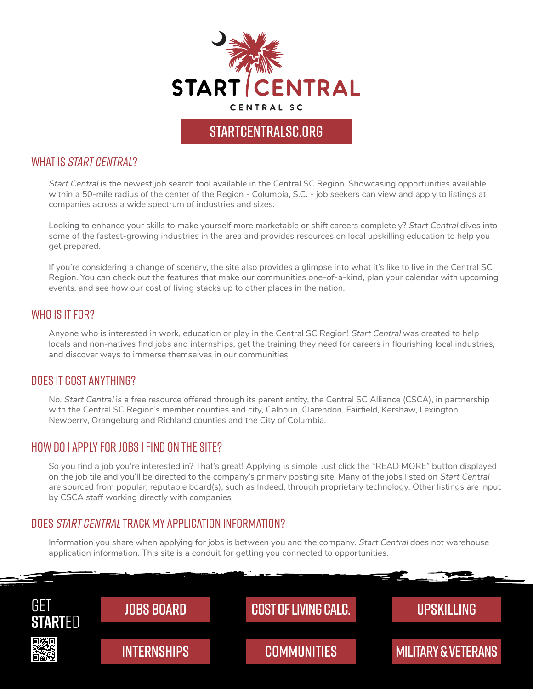

## START CENTRALSC.ORG

#### WHAT IS *START CENTRAL*?

Start Central is the newest job search tool available in the [Central SC Region.](https://startcentralsc.org/living/communities/) Showcasing opportunities available within a 50-mile radius of the center of the Region - Columbia, S.C. - job seekers can view and apply to listings at companies across a wide spectrum of industries and sizes.

Looking to enhance your skills to make yourself more marketable or shift careers completely? Start Central dives into some of the fastest-growing industries in the area and provides resources on local upskilling education to help you get prepared.

If you're considering a change of scenery, the site also provides a glimpse into what it's like to live in the Central SC Region. You can check out the features that make our [communities](https://startcentralsc.org/living/communities/) one-of-a-kind, plan your calendar with upcoming [events](https://startcentralsc.org/our-culture/events-festivals/), and see how our [cost of living](https://startcentralsc.org/living/cost-of-living/) stacks up to other places in the nation.

#### WHO IS IT FOR?

Anyone who is interested in work, education or play in the Central SC Region! Start Central was created to help locals and non-natives find jobs and internships, get the training they need for careers in flourishing local industries, and discover ways to immerse themselves in our communities.

#### Does it cost anything?

No. Start Central is a free resource offered through its parent entity, the [Central SC Alliance \(CSCA\),](https://www.centralsc.org/) in partnership with the [Central SC Region's member counties and city,](https://startcentralsc.org/living/communities/) Calhoun, Clarendon, Fairfield, Kershaw, Lexington, Newberry, Orangeburg and Richland counties and the City of Columbia.

#### how do i apply for jobs i find on the site?

So you find a job you're interested in? That's great! Applying is simple. Just click the "READ MORE" button displayed on the job tile and you'll be directed to the company's primary posting site. Many of the jobs listed on Start Central are sourced from popular, reputable board(s), such as Indeed, through proprietary technology. Other listings are input by CSCA staff working directly with companies.

### DOES [START CENTRAL](https://startcentralsc.org/) TRACK MY APPLICATION INFORMATION?

Information you share when applying for jobs is between you and the company. Start Central does not warehouse application information. This site is a conduit for getting you connected to opportunities.